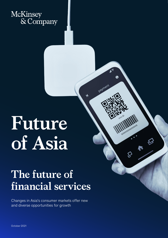

# **Future of Asia**

# **The future of financial services**

 $\sqrt{\epsilon}$ 

payment

A

**MINIMURIPS** 

Changes in Asia's consumer markets offer new and diverse opportunities for growth

October 2021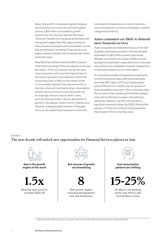Asia is the world's consumption growth engine miss Asia and you could miss half of the global picture, a \$10 trillion consumption growth opportunity over the next decade. But Asia's consumer markets are changing dynamically with new growth angles that offer opportunities for financial services players and consumption curves that are shifting or mutating. Financial services players should consider how to redraw their Asian consumer maps.

New McKinsey Global Institute (MGI) research finds that three large shifts are playing out across the region.1 First, as incomes rise across Asia, more consumers will reach the highest tiers of the income pyramid, and movement within the consuming class is likely to be a larger driver of consumption growth than movement into it. Second, cities will continue to drive consumption growth, but promising sources of growth are increasingly diverse cohorts within cities, such as Insta-grannies in Seoul, Generation Z gamers in Surabaya, career moms in Manila, and lifestyle-indulging digital natives in Chengdu. Third, as the relationship between income and

consumption breaks down in some instances, new consumption curves are emerging in specific categories (Exhibit 1).

#### **Asian consumers are likely to demand more financial services**

Asian consumers are expected to account for half of global consumption growth in the next decade, equivalent to a \$10 trillion growth opportunity. Globally, one of every two upper-middle-income and above households is expected to be in Asia, and one of every two completed consumer transactions in the world is likely to occur in the region.

An increasing number of people are projected to join the consuming class, defined as spending more than \$11 a day in 2011 purchasing power parity (PPP) terms. In 2000, only 15 percent of Asia's population was part of the consuming class; the incomes of the remaining three billion people were still insufficient to support discretionary spending. However, over the next decade, a significant reversal is likely. By 2030, three billion people, or 70 percent of Asia's total population, may be part of the consuming class.

#### Exhibit 1 **The next decade will unlock new opportunities for Financial Services players in Asia** Financial Services players in Asia  $\mathsf{Exhibit}\,1$



Asia is the growth engine of the world





But sources of growth are diversifying



New growth angles, including demographics and new behaviours



And consumption patterns are shifting

**15-25%**

Of value in the banking sector may shift to new consumption curves

<sup>1</sup> *Beyond income: Redrawing Asia's consumer map*, Future of Asia, McKinsey Global Institute, September 2021.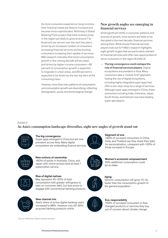As more consumers experience rising incomes, their financial needs are likely to increase and become more sophisticated. McKinsey's Global Banking Pools project that total revenue pools in the region are likely to grow at around 7 to 8 percent per annum over the next five years, driven by an increased number of consumers accessing financial services and by existing consumers increasing their uptake of services. MGI research indicates that most consumption growth in the coming decade will be urban, and driven by higher-income consumers—85 percent of consumption growth is expected to originate in urban areas, and 80 percent is expected to be driven by the two top tiers of the consuming class.

However, more than ever, patterns of consumption and consumption growth are diversifying, reflecting demographic, social, and technological change.

### **New growth angles are emerging in financial services**

Amid significant shifts in consumer patterns and sources of growth, most sectors are likely to be disrupted in the next decade, financial services among them. What should financial services players look out for? MGI's research highlights eight growth angles that are particularly relevant to financial services and offer new opportunities to serve consumers in the region (Exhibit 2).

— The big convergence could reshape the role of financial services players. Digital ecosystems are prevalent in Asia. Many consumers take a "mobile-first" approach, fueling the rise of digital ecosystems, including highly integrated super apps that offer a one-stop-shop for a range of services. Although super apps emerged in China, Asian economies including India, Indonesia, Japan, South Korea, and Vietnam now have leading super app players.

#### Exhibit 2  $\mathsf{Exhibit}\,2$

## As Asia's consumption landscape diversifies, eight new angles of growth stand out



#### The big convergence

Super apps emerged in China but are now prevalent across Asia. Many digital ecosystems are embedding finance services



New notions of ownership >60% of adults in Australia, China, and

Japan with online access have at least 1 subscription service



Rise of digital natives May represent 40–50% of total consumption with greater willingness to take on consumer debt, but less prone to engage with conventional banking products



#### New channel mix

Asia's share of active digital banking users increased to 88%. However only 20-30% acquired banking products online



#### Seament of one

>45% of surveyed consumers in China, India, and Thailand say they share their data for personalization, compared with <30% of those surveyed in Europe



Women's economic empowerment 30% additional consumption could be at stake



# Aging

Seniors' consumption will grow 1.5–2x faster than the consumption growth of the general population



#### Eco-responsibility

>50% of surveyed consumers in Asia changed products or services they buy out of concern about climate change

Source: McKinsey Global Institute analysis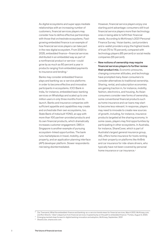As digital ecosystems and super apps mediate relationships with an increasing number of customers, financial services players may consider how to define effective partnerships with those that orchestrate ecosystems. Fastgrowing embedded finance is an example of how financial services players can take part in the new digital ecosystem. From 2020 to 2025, embedded finance—financial services distributed in an embedded way as part of a nonfinancial product or service—could grow by as much as 60 percent a year in products ranging from embedded payments to insurance and lending.<sup>2</sup>

Banks may consider embedded finance plays and banking-as-a-service platforms in order to become effective and innovative participants in ecosystems. ICICI Bank in India, for instance, embedded basic banking services on WhatsApp and scaled up to one million users in only three months from its launch. Banks and insurance companies with sufficient appetite and capabilities may create and orchestrate their own ecosystems, too. State Bank of India built YONO, an app with more than 100 partner-provided products and its own financial products, which dramatically increases customer engagement. DBS in Singapore is another example of pursuing ecosystem-linked opportunities. The bank runs marketplaces in travel, mobility, and property, and an application planning interface (API) developer platform. Slower respondents risk being disintermediated.

However, financial service players enjoy one starting point advantage: consumers still trust financial service players more than technology ones in being able to fulfill their financial needs. According to McKinsey's 2021 Personal Finance Survey,<sup>3</sup> Asian banks, card providers and e-wallet providers enjoy the highest levels of trust (70 to 75 percent), compared with technology players (65 percent) or social media companies (55 percent).

— New notions of ownership may require financial services players to further review their product mix. Economic pressures, changing consumer attitudes, and technology have prompted many Asian consumers to consider alternatives to traditional ownership. Sharing, rental, and subscription economies are gaining traction in, for instance, mobility, fashion, electronics, and housing. As Asian consumers consider new forms of ownership, some conventional financial products such as home insurance and car loans may start to become less relevant. In response, players may need to innovate to create new sources of growth, including, for instance, insurance products targeted at the sharing economy. In some cases, players may find opportunities by participating in other ecosystems. In Australia, for instance, ShareCover, which is part of Australia's largest general insurance group, IAG, offers home insurance for hosts renting out their property on platforms like AirBnb and car insurance for ride-share drivers, who typically have not been covered by personal home insurance or car insurance.4

<sup>2</sup> Zac Townsend, What the embedded-finance and banking-as-a-service trends mean for financial services, March 2021, McKinsey.com; and Ron Shevlin, "Uber's departure from financial services: A speed bump on the path to embedded finance," Forbes, August 3, 2020.

<sup>3</sup> Emerging markets leap forward in digital banking innovation and adoption, McKinsey, September, 2021

<sup>4</sup> ShareCover, sharecover.com.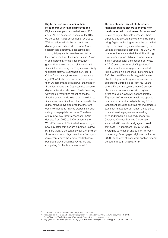- Digital natives are reshaping their relationship with financial institutions. Digital natives (people born between 1980 and 2012) are expected to account for 40 to 50 percent of Asia's consumption by 2030. With variations within the region, Asia's digital generation tends to use non-Asian social media platforms, messaging apps, and digital payments providers and follow local social media influencers, but uses Asian e-commerce platforms. These younger generations are reshaping relationship with financial services players. They are more likely to explore alternative financial services. In China, for instance, the share of consumers aged 21 to 24 who hold credit cards is more than 20 percentage points lower than that of the older generation.<sup>5</sup> Opportunities to serve digital natives include point-of-sale financing with flexible maturities reflecting the fact that this cohort tends to take on more debt to finance consumption than others. In particular, digital natives have displayed that they are open to embedded finance propositions such as buy-now-pay-later services. The share of buy-now-pay-later transactions in Asia doubled from 2019 to 2020, according to WorldPay research.<sup>6</sup> In Australia alone, buynow-pay-later services are expected to grow by more than 30 percent per year over the next three years. Local players such as Afterpay and Zip currently have the largest market share, but global players such as PayPal are also competing for the Australian market.7
- The new channel mix will likely require financial services players to change how they interact with customers. As consumers' uptake of digital channels increases, their expectations of customer experience are also rising. Digital technologies raise the bar in that respect because they are enabling easy-touse and personalized services. The COVID-19 pandemic has accelerated this shift. Although consumer adoption of digital channels was initially strongest for transactional services, in 2020 even conventionally "high-touch" products such as mortgages have started to migrate to online channels. In McKinsey's 2021 Personal Finance Survey, Asia's share of active digital banking users increased to 88 percent, up from 65 percent four years before. Furthermore, more than 60 percent of consumers are open to switching to a direct bank. However, while approximately 70 percent of consumers in Asia are open to purchase new products digitally, only 20 to 30 percent have done so thus far; investments stand out for adoption. In light of these shifts, financial service players are innovating to drive additional online sales. Singapore's Overseas-Chinese Banking Corporation launched a 60-minute mortgage approval service for Singaporeans in May 2020 by leveraging automation and straight-through processing of mortgages originated online. In 2020, 30 percent of loans were applied for and executed through this platform.<sup>8</sup>

<sup>5</sup> *Consumer finance whitepaper*, McKinsey China, June 2021.

<sup>6</sup> *The global payments report: Rebuilding payments for a smarter world*, FIS and Worldpay from FIS, 2021.

Sarah Sharples, "PayPal takes on Afterpay with 'pay in 4' option," news.com.au.

<sup>8</sup> *Singapore's OCBC Bank approves mortgages in 60 minutes using FICO technology*, FICO, February 8, 2021.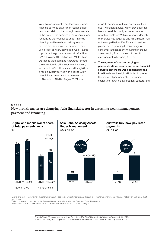Wealth management is another area in which financial services players can reshape their customer relationships through new channels. In the wake of the pandemic, many consumers recognized the need for stronger financial planning, and have shown willingness to explore new solutions. The number of people using robo-advisory services in Asia–Pacific is projected to grow from around 110 million in 2019 to over 400 million in 2024. In China, US-based Vanguard and Ant Group formed a joint venture to offer investment advisory services. In 2020, they launched BangNiTou, a robo-advisory service with a deliberately low minimum investment requirement of 800 renminbi (\$120 in August 2021) in an

effort to democratize the availability of highquality financial advice, which previously had been accessible to only a smaller number of wealthy investors.<sup>9</sup> Within a year of its launch, the service had acquired one million users, half of them aged below 40.10 Financial services players are responding to this changing consumer landscape by innovating in product areas ranging from payments to wealth management to financing (Exhibit 3).

— The segment of one is emerging as personalization spreads, and some financial services players are well positioned to tap into it. Asia has the right attributes to propel the spread of personalization, including explosive growth in data creation, capture, and

#### Exhibit 3

**New growth angles are changing Asia financial sector in areas like wealth management,**  New growth angles are changing Asia nancial sector in areas payment and financing



<sup>1</sup>Digital and mobile wallets include different types of electronic payment mechanisms through a computer or smartphone, which do not rely on a physical debit or credit card.

2 Select providers as reported by the Reserve Bank of Australia – Afterpay, Openpay, Zipco, FlexiGroup. Source: Statista, Reserve Bank of Australia, FIS Global, McKinsey Global Institute analysis

<sup>10</sup> Lulu Yilun Chen, "Ant, Vanguard-backed robo adviser hits 1 million users in China," *Bloomberg*, March 18, 2021.

<sup>9</sup> Chris Flood, "Vanguard venture with Ant Group lures 200,000 Chinese clients," *Financial Times*, July 19, 2020.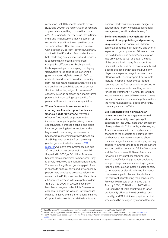replication that IDC expects to triple between 2020 and 2025 in the region. Asian consumers appear relatively willing to share their data. A 2021 Euromonitor survey found that in China, India, and Thailand, more than 45 percent of respondents said that they share their data for personalized offers and deals, compared with less than 30 percent in France, Germany, and the United Kingdom. Personalization of both marketing communications and services is becoming an increasingly important competitive differentiator. Public policy is likely to play a big role in shaping the playing field. South Korea considered launching a government-led MyData project in 2021 to enable licensed service providers, including both incumbent and fintech players, to collect and analyze personal data scattered across the financial sector, subject to consumers' consent.11 Such an approach can enable further personalization, creating opportunities for players with superior analytics capabilities.

— Women's economic empowerment is creating new financial opportunities, and financial needs for women. Five types of women's economic empowerment increased labor participation, rising income opportunities, increased financial and digital inclusion, changing family structure, and a larger role in purchasing decisions—could boost Asia's consumption growth. Based on the GDP growth potential from narrowing gender gaps estimated in previous [MGI](https://www.mckinsey.com/featured-insights/gender-equality/the-power-of-parity-advancing-womens-equality-in-asia-pacific)  [research,](https://www.mckinsey.com/featured-insights/gender-equality/the-power-of-parity-advancing-womens-equality-in-asia-pacific) women's empowerment could add 30 percent to Asia's consumption growth in the period to 2030, or \$3 trillion. As women become more economically empowered, they are likely to develop additional financial needs. There are still significant gender gaps in Asia in access to financial services. However, many players have developed products tailored for women. In the Philippines, Insular Life achieved a 57 percent increase in female policyholders from 2017 to 2020. In 2019, the company launched a program called InLife Sheroes in collaboration with the Women Entrepreneurs Finance Initiative and the International Finance Corporation to provide the relatively untapped

women's market with lifetime risk mitigation solutions and inform women about financial management, health, and well-being.<sup>12</sup>

- Senior segment is growing faster than the rest of the population, and presenting unique needs. The population of Asian seniors, defined as individuals 60 and over, is expected to grow by around 40 percent over the next decade, and seniors' consumption may grow twice as fast as that of the rest of the population in many Asian countries. Financial institutions have conventionally had close relationships with seniors, but many players are exploring ways to expand their offerings to this demographic. For example, MetLife in Japan provides value-added services such as free reservation services for medical checkups and consulting services for cancer treatment.13 In China, Taikang Life Insurance runs a resort-like retirement home exclusively for its life insurance policyholders; the home has a hospital, places of worship, cinema, gym, and buffet.14
- Eco-responsibility is rising as Asian consumers are increasingly concerned about sustainability. In an Ipsos poll conducted in late 2019, more than 80 percent of respondents in China, India, and emerging Asian economies said that they had made changes to the products and services they buy because they were concerned about climate change. Financial Service players may consider new products to support consumers in acting on their concerns. DBS in Singapore and the Commonwealth Bank of Australia for example have both launched "green loans", specific lending products dedicated to supporting consumers investing in green technologies, such as installing solar panels, battery packs or electric vehicles. Insurance companies in particular are likely to be at the forefront of protecting their consumers. Previous MGI research estimated that In Asia, by 2050, \$2.8 trillion to \$4.7 trillion of GDP could be at risk annually due to labor productivity affected by extreme heat and humidity, and \$1.2 trillion of physical capital stock could be damaged by riverine flooding

12 *Insular Life, Philippines—The case for insuring women for a better tomorrow*, International Finance Corporation, [www.ifc.org.](www.ifc.org)

<sup>11</sup> Jung Min-yung, "S. Korea delays launch of comprehensive data service," *Korea Herald*, July 8, 2021.

<sup>13</sup> Health-related value-added services for products to be significantly expanded for policyholders, MetLife, October 16, 2019, [metlife.co.jp.](metlife.co.jp)

<sup>14</sup> Chuin-Wei Yap, "China's insurers try novel approach to elderly care: Building retirement homes," *Wall Street Journal*, February 14, 2018.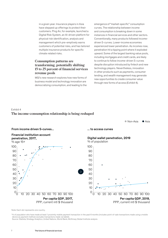in a given year. Insurance players in Asia have stepped up offerings to protect their customers. Ping An, for example, launched a Digital Risk System, an AI-driven platform for physical risk identification, analysis and management which pre-emptively warns customers of potential risks, and has tailored multiple insurance products for specific climate related risks.

#### **Consumption patterns are transforming, potentially shifting 15 to 25 percent of financial services revenue pools**

MGI's new research explores how new forms of business model and technology innovation are democratizing consumption, and leading to the emergence of "market-specific" consumption curves. The relationship between income and consumption is breaking down in some instances in financial services and other sectors. Conventionally, many products followed incomedriven S-curves. Lower-income economies experienced lower penetration. As incomes rose, penetration hit a tipping point where it exploded upward. Some of the largest banking value pools, including mortgages and credit cards, are likely to continue to follow income-driven S-curves despite disruption introduced by fintech and new technology players. Nevertheless, innovation in other products such as payments, consumer lending, and wealth management may generate new opportunities to create consumer value through new forms of access (Exhibit 4).

# Exhibit 4

# **The income-consumption relationship is being reshaped** The income-consumption relationship is being reshaped

● Non-Asia ● Asia



Note: Each dot represents one country.

<sup>1</sup>% of population who have made at least 1 proximity mobile payment transaction in the past 6 months (includes point-of-sale transactions made using a mobile device as payment method; excludes transactions made via tablet).

Source: Statista; Strategy Analytics; United Nations, World Bank; McKinsey Global Institute analysis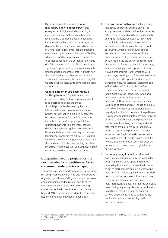- Between 5 and 10 percent of value may follow a new "access curve". The emergence of digital wallets is helping to increase financial inclusion at all income levels. While traditional accounts follow an income-driven S-curve, the penetration of digital wallets is much less driven by income. In China, eight out of every ten smartphone users have digital wallets. Alipay and TenPay, which emerged from Alibaba and Tencent, together account for 35 percent of the value of C2B payments in China. There are clearly significant opportunities to serve classically underbanked consumers, offering them new financial products as they access financial services. In Cambodia, the number of digital wallets doubled in 2020 to almost ten million accounts.15
- Up to 15 percent of value may follow a "shifting S-curve". Digital innovation in consumer lending and wealth management is democratizing access to these financial products, decreasing the cost of intermediation and minimum amounts to borrow or to invest. In India, HDFC bank has broadened services for small farmers with its "Milk-to-Money" program, which has digitized payments to more than 450,000 dairy farmers, enabling them to create credit histories that can mean that they can access lending more easily in the future. HDFC bank also offers wealth-management services, and this has been effective in attracting first-time investors. Other players are also innovating the way they serve lower income consumers.

### **Companies need to prepare for the next decade of competition as Asia's consumer landscape is reshaped**

The Asian consumer landscape is being reshaped by rising incomes, diversifying and new sources of growth, and the mutating consumption curves, and companies need to rethink how to serve consumers and compete in these changing markets effectively over the next decade and beyond. MGI's new research identifies three key actions companies may need to consider:

- 1. Redraw your growth map. Each company has a map of growth, but this can all too easily become outdated without a concerted effort to understand and track dynamically changing markets. Companies may need to rethink how demand for their products and services is likely to evolve and to look carefully at which of the growth angles are relevant to their businesses. Some financial service players may find success by leveraging the big convergence through an embedded finance play while others may locate promising growth opportunities in Asia's demographic transformation with some players opting for a full-service offering to boost access to specific underserved demographics. For instance, SBI launched YONO Krishi in 2019, a digital platform to serve farmers that offers specialized loans (such as crop loans), insurance and investment opportunities, as well as a universal platform where farmers can see live prices of crops and buy inputs and make sales directly.<sup>16</sup> New consumption curves may significantly shift consumption patterns. Previously unbanked customers may leapfrog directly to digital wallets, and players may use this as a launching pad to expand and offer other products. Many fintechs have acted to capture the potential of this new access curve. Paytm already serves many new customers with digital wallets, and it is now expanding into other services such as deposits, micro investment, digital loans, and insurance.<sup>17</sup>
- 2. Increase your agility. With a refreshed growth map, companies may then consider adopting a more agile operating model, increasing the speed of innovation in order to get to market more quickly; empowering local decision makers, given that centralized decision making and execution are not likely to be sufficient to capture the nuances of local markets; and ensuring that the company board is digitally savvy. Resource reallocation in particular may be crucial as financial service players may need to substantially reallocate capital to areas of growth and opportunity.

<sup>15</sup> Shaun Turton and Bopha Phorn, "Cambodia's COVID lockdown put delivery drivers on the front line," *Nikkei Asia*, May 4, 2021.

<sup>16</sup> SBI annual report 2019-20.

<sup>17</sup> Paytm,<paytm.com>.